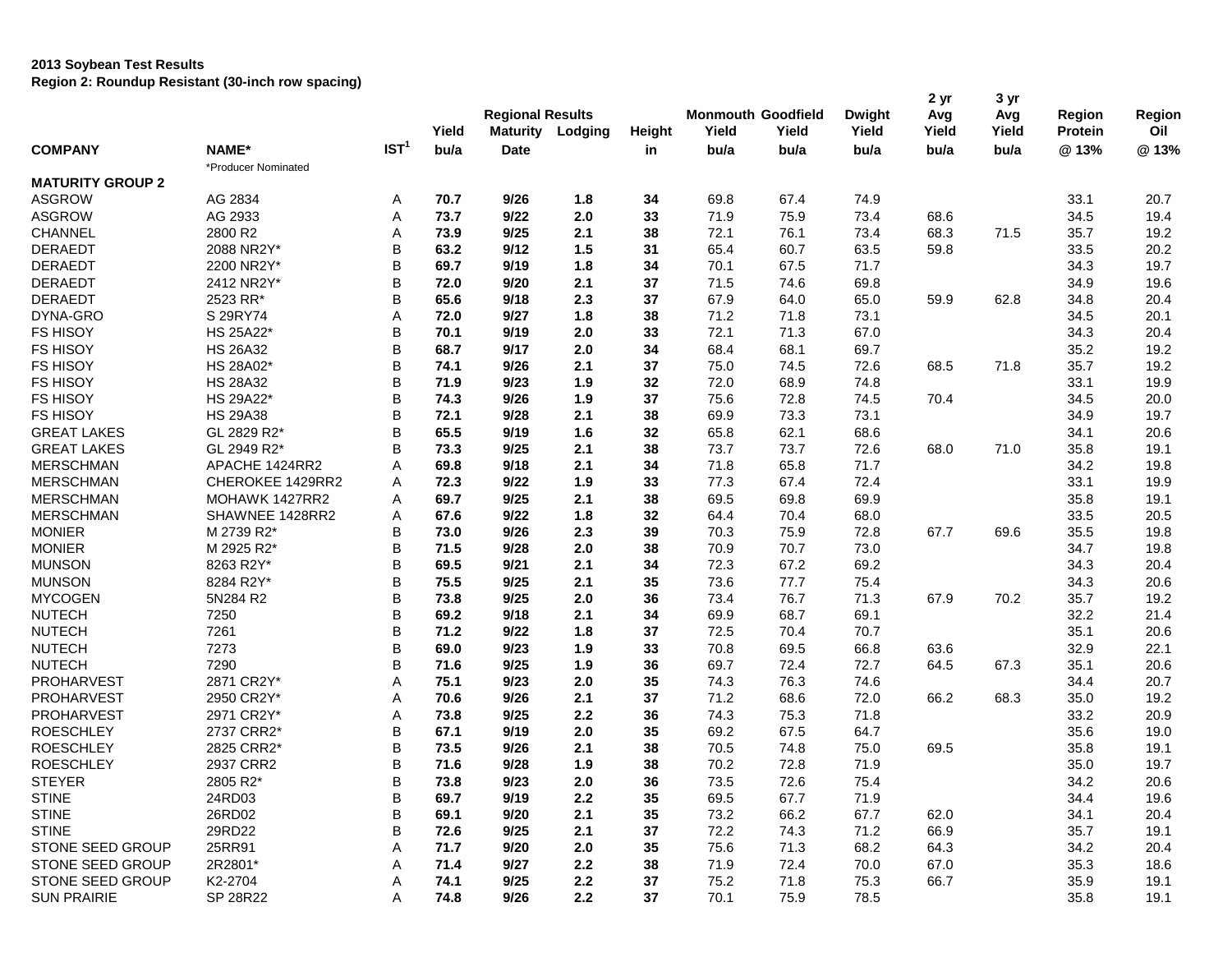## **2013 Soybean Test Results Region 2: Roundup Resistant (30-inch row spacing)**

|                         |                     |                  | Yield | <b>Regional Results</b><br><b>Maturity</b> | Lodging | Height | <b>Monmouth Goodfield</b><br>Yield | Yield | <b>Dwight</b><br>Yield | 2 yr<br>Avg<br>Yield | 3 yr<br>Avg<br>Yield | Region<br>Protein | Region<br>Oil |
|-------------------------|---------------------|------------------|-------|--------------------------------------------|---------|--------|------------------------------------|-------|------------------------|----------------------|----------------------|-------------------|---------------|
| <b>COMPANY</b>          | NAME*               | IST <sup>1</sup> | bu/a  | <b>Date</b>                                |         | in     | bu/a                               | bu/a  | bu/a                   | bu/a                 | bu/a                 | @13%              | @13%          |
|                         | *Producer Nominated |                  |       |                                            |         |        |                                    |       |                        |                      |                      |                   |               |
| <b>MATURITY GROUP 2</b> |                     |                  |       |                                            |         |        |                                    |       |                        |                      |                      |                   |               |
| <b>ASGROW</b>           | AG 2834             | Α                | 70.7  | 9/26                                       | 1.8     | 34     | 69.8                               | 67.4  | 74.9                   |                      |                      | 33.1              | 20.7          |
| <b>ASGROW</b>           | AG 2933             | Α                | 73.7  | 9/22                                       | 2.0     | 33     | 71.9                               | 75.9  | 73.4                   | 68.6                 |                      | 34.5              | 19.4          |
| <b>CHANNEL</b>          | 2800 R2             | Α                | 73.9  | 9/25                                       | 2.1     | 38     | 72.1                               | 76.1  | 73.4                   | 68.3                 | 71.5                 | 35.7              | 19.2          |
| <b>DERAEDT</b>          | 2088 NR2Y*          | B                | 63.2  | 9/12                                       | 1.5     | 31     | 65.4                               | 60.7  | 63.5                   | 59.8                 |                      | 33.5              | 20.2          |
| <b>DERAEDT</b>          | 2200 NR2Y*          | B                | 69.7  | 9/19                                       | 1.8     | 34     | 70.1                               | 67.5  | 71.7                   |                      |                      | 34.3              | 19.7          |
| <b>DERAEDT</b>          | 2412 NR2Y*          | B                | 72.0  | 9/20                                       | 2.1     | 37     | 71.5                               | 74.6  | 69.8                   |                      |                      | 34.9              | 19.6          |
| <b>DERAEDT</b>          | 2523 RR*            | B                | 65.6  | 9/18                                       | 2.3     | 37     | 67.9                               | 64.0  | 65.0                   | 59.9                 | 62.8                 | 34.8              | 20.4          |
| DYNA-GRO                | S 29RY74            | Α                | 72.0  | 9/27                                       | 1.8     | 38     | 71.2                               | 71.8  | 73.1                   |                      |                      | 34.5              | 20.1          |
| <b>FS HISOY</b>         | HS 25A22*           | B                | 70.1  | 9/19                                       | 2.0     | 33     | 72.1                               | 71.3  | 67.0                   |                      |                      | 34.3              | 20.4          |
| <b>FS HISOY</b>         | <b>HS 26A32</b>     | B                | 68.7  | 9/17                                       | 2.0     | 34     | 68.4                               | 68.1  | 69.7                   |                      |                      | 35.2              | 19.2          |
| <b>FS HISOY</b>         | HS 28A02*           | B                | 74.1  | 9/26                                       | 2.1     | 37     | 75.0                               | 74.5  | 72.6                   | 68.5                 | 71.8                 | 35.7              | 19.2          |
| <b>FS HISOY</b>         | <b>HS 28A32</b>     | B                | 71.9  | 9/23                                       | 1.9     | 32     | 72.0                               | 68.9  | 74.8                   |                      |                      | 33.1              | 19.9          |
| <b>FS HISOY</b>         | HS 29A22*           | B                | 74.3  | 9/26                                       | 1.9     | 37     | 75.6                               | 72.8  | 74.5                   | 70.4                 |                      | 34.5              | 20.0          |
| <b>FS HISOY</b>         | <b>HS 29A38</b>     | B                | 72.1  | 9/28                                       | 2.1     | 38     | 69.9                               | 73.3  | 73.1                   |                      |                      | 34.9              | 19.7          |
| <b>GREAT LAKES</b>      | GL 2829 R2*         | B                | 65.5  | 9/19                                       | 1.6     | 32     | 65.8                               | 62.1  | 68.6                   |                      |                      | 34.1              | 20.6          |
| <b>GREAT LAKES</b>      | GL 2949 R2*         | B                | 73.3  | 9/25                                       | 2.1     | 38     | 73.7                               | 73.7  | 72.6                   | 68.0                 | 71.0                 | 35.8              | 19.1          |
| <b>MERSCHMAN</b>        | APACHE 1424RR2      | Α                | 69.8  | 9/18                                       | 2.1     | 34     | 71.8                               | 65.8  | 71.7                   |                      |                      | 34.2              | 19.8          |
| <b>MERSCHMAN</b>        | CHEROKEE 1429RR2    | Α                | 72.3  | 9/22                                       | 1.9     | 33     | 77.3                               | 67.4  | 72.4                   |                      |                      | 33.1              | 19.9          |
| <b>MERSCHMAN</b>        | MOHAWK 1427RR2      | Α                | 69.7  | 9/25                                       | 2.1     | 38     | 69.5                               | 69.8  | 69.9                   |                      |                      | 35.8              | 19.1          |
| <b>MERSCHMAN</b>        | SHAWNEE 1428RR2     | Α                | 67.6  | 9/22                                       | 1.8     | 32     | 64.4                               | 70.4  | 68.0                   |                      |                      | 33.5              | 20.5          |
| <b>MONIER</b>           | M 2739 R2*          | B                | 73.0  | 9/26                                       | 2.3     | 39     | 70.3                               | 75.9  | 72.8                   | 67.7                 | 69.6                 | 35.5              | 19.8          |
| <b>MONIER</b>           | M 2925 R2*          | B                | 71.5  | 9/28                                       | 2.0     | 38     | 70.9                               | 70.7  | 73.0                   |                      |                      | 34.7              | 19.8          |
| <b>MUNSON</b>           | 8263 R2Y*           | B                | 69.5  | 9/21                                       | 2.1     | 34     | 72.3                               | 67.2  | 69.2                   |                      |                      | 34.3              | 20.4          |
| <b>MUNSON</b>           | 8284 R2Y*           | B                | 75.5  | 9/25                                       | 2.1     | 35     | 73.6                               | 77.7  | 75.4                   |                      |                      | 34.3              | 20.6          |
| <b>MYCOGEN</b>          | 5N284 R2            | B                | 73.8  | 9/25                                       | 2.0     | 36     | 73.4                               | 76.7  | 71.3                   | 67.9                 | 70.2                 | 35.7              | 19.2          |
| <b>NUTECH</b>           | 7250                | B                | 69.2  | 9/18                                       | 2.1     | 34     | 69.9                               | 68.7  | 69.1                   |                      |                      | 32.2              | 21.4          |
| <b>NUTECH</b>           | 7261                | B                | 71.2  | 9/22                                       | 1.8     | 37     | 72.5                               | 70.4  | 70.7                   |                      |                      | 35.1              | 20.6          |
| <b>NUTECH</b>           | 7273                | B                | 69.0  | 9/23                                       | 1.9     | 33     | 70.8                               | 69.5  | 66.8                   | 63.6                 |                      | 32.9              | 22.1          |
| <b>NUTECH</b>           | 7290                | B                | 71.6  | 9/25                                       | 1.9     | 36     | 69.7                               | 72.4  | 72.7                   | 64.5                 | 67.3                 | 35.1              | 20.6          |
| PROHARVEST              | 2871 CR2Y*          | Α                | 75.1  | 9/23                                       | 2.0     | 35     | 74.3                               | 76.3  | 74.6                   |                      |                      | 34.4              | 20.7          |
| <b>PROHARVEST</b>       | 2950 CR2Y*          | Α                | 70.6  | 9/26                                       | 2.1     | 37     | 71.2                               | 68.6  | 72.0                   | 66.2                 | 68.3                 | 35.0              | 19.2          |
| PROHARVEST              | 2971 CR2Y*          | Α                | 73.8  | 9/25                                       | 2.2     | 36     | 74.3                               | 75.3  | 71.8                   |                      |                      | 33.2              | 20.9          |
| <b>ROESCHLEY</b>        | 2737 CRR2*          | B                | 67.1  | 9/19                                       | 2.0     | 35     | 69.2                               | 67.5  | 64.7                   |                      |                      | 35.6              | 19.0          |
| <b>ROESCHLEY</b>        | 2825 CRR2*          | B                | 73.5  | 9/26                                       | 2.1     | 38     | 70.5                               | 74.8  | 75.0                   | 69.5                 |                      | 35.8              | 19.1          |
| <b>ROESCHLEY</b>        | 2937 CRR2           | B                | 71.6  | 9/28                                       | 1.9     | 38     | 70.2                               | 72.8  | 71.9                   |                      |                      | 35.0              | 19.7          |
| <b>STEYER</b>           | 2805 R2*            | <sub>B</sub>     | 73.8  | 9/23                                       | 2.0     | 36     | 73.5                               | 72.6  | 75.4                   |                      |                      | 34.2              | 20.6          |
| <b>STINE</b>            | 24RD03              | Β                | 69.7  | 9/19                                       | 2.2     | 35     | 69.5                               | 67.7  | 71.9                   |                      |                      | 34.4              | 19.6          |
| <b>STINE</b>            | 26RD02              | B                | 69.1  | 9/20                                       | 2.1     | 35     | 73.2                               | 66.2  | 67.7                   | 62.0                 |                      | 34.1              | 20.4          |
| <b>STINE</b>            | 29RD22              | в                | 72.6  | 9/25                                       | 2.1     | 37     | 72.2                               | 74.3  | 71.2                   | 66.9                 |                      | 35.7              | 19.1          |
| STONE SEED GROUP        | 25RR91              | Α                | 71.7  | 9/20                                       | 2.0     | 35     | 75.6                               | 71.3  | 68.2                   | 64.3                 |                      | 34.2              | 20.4          |
| STONE SEED GROUP        | 2R2801*             | Α                | 71.4  | 9/27                                       | 2.2     | 38     | 71.9                               | 72.4  | 70.0                   | 67.0                 |                      | 35.3              | 18.6          |
| STONE SEED GROUP        | K2-2704             | A                | 74.1  | 9/25                                       | $2.2\,$ | 37     | 75.2                               | 71.8  | 75.3                   | 66.7                 |                      | 35.9              | 19.1          |
| <b>SUN PRAIRIE</b>      | SP 28R22            | A                | 74.8  | 9/26                                       | 2.2     | 37     | 70.1                               | 75.9  | 78.5                   |                      |                      | 35.8              | 19.1          |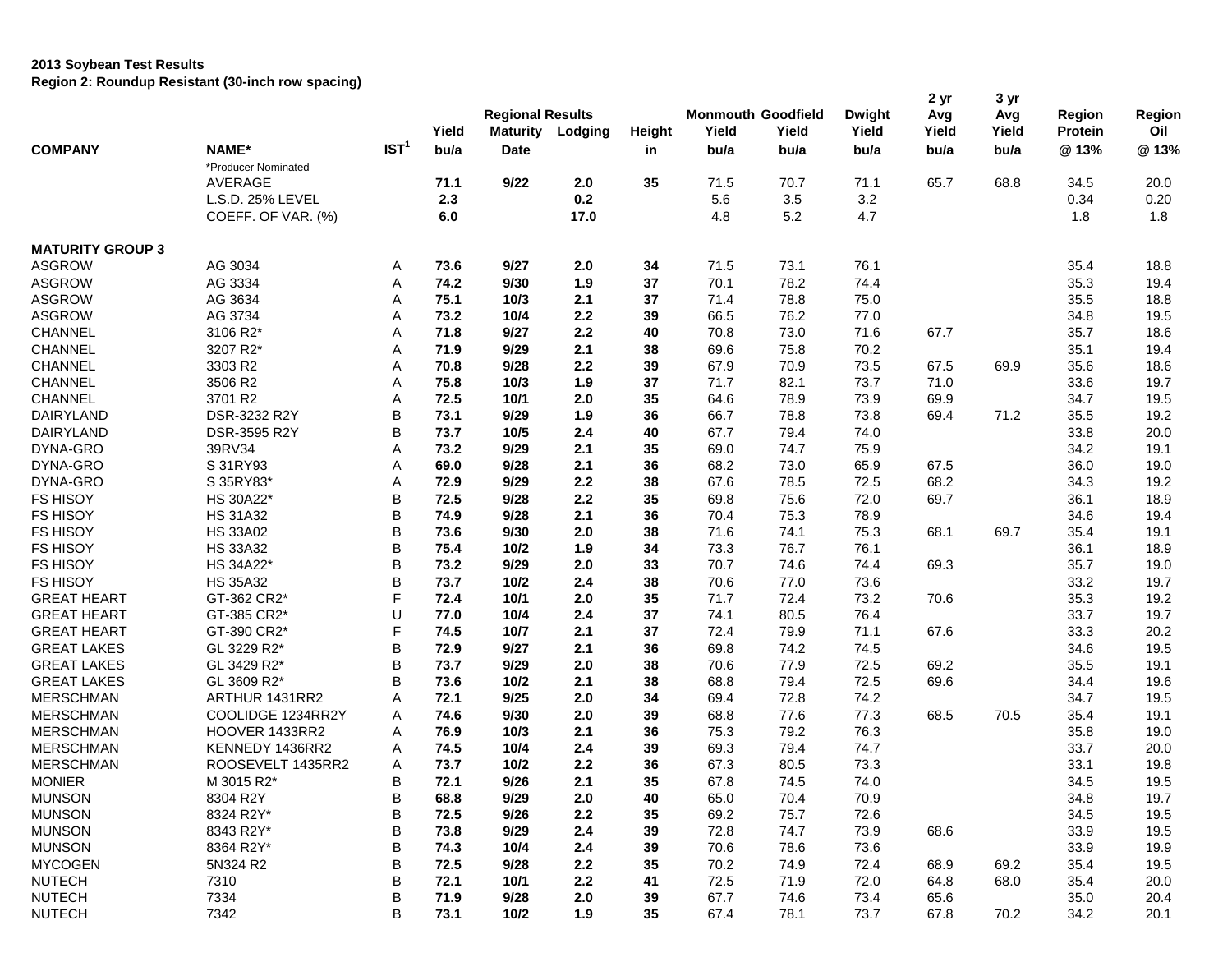## **2013 Soybean Test Results**

**Region 2: Roundup Resistant (30-inch row spacing)**

|                         | ivegion 2. Noundap Resistant (Jo-mon Tow Spacing) |                  | Yield | <b>Regional Results</b><br><b>Maturity</b> | Lodging | Height | <b>Monmouth Goodfield</b><br>Yield | Yield | <b>Dwight</b><br>Yield | 2 yr<br>Avg<br>Yield | 3 yr<br>Avg<br>Yield | <b>Region</b><br><b>Protein</b> | Region<br>Oil |
|-------------------------|---------------------------------------------------|------------------|-------|--------------------------------------------|---------|--------|------------------------------------|-------|------------------------|----------------------|----------------------|---------------------------------|---------------|
| <b>COMPANY</b>          | NAME*                                             | IST <sup>1</sup> | bu/a  | <b>Date</b>                                |         | in     | bu/a                               | bu/a  | bu/a                   | bu/a                 | bu/a                 | @13%                            | @13%          |
|                         | *Producer Nominated                               |                  |       |                                            |         |        |                                    |       |                        |                      |                      |                                 |               |
|                         | AVERAGE                                           |                  | 71.1  | 9/22                                       | 2.0     | 35     | 71.5                               | 70.7  | 71.1                   | 65.7                 | 68.8                 | 34.5                            | 20.0          |
|                         | L.S.D. 25% LEVEL                                  |                  | 2.3   |                                            | 0.2     |        | 5.6                                | 3.5   | 3.2                    |                      |                      | 0.34                            | 0.20          |
|                         | COEFF. OF VAR. (%)                                |                  | 6.0   |                                            | 17.0    |        | 4.8                                | 5.2   | 4.7                    |                      |                      | 1.8                             | 1.8           |
| <b>MATURITY GROUP 3</b> |                                                   |                  |       |                                            |         |        |                                    |       |                        |                      |                      |                                 |               |
| <b>ASGROW</b>           | AG 3034                                           | A                | 73.6  | 9/27                                       | 2.0     | 34     | 71.5                               | 73.1  | 76.1                   |                      |                      | 35.4                            | 18.8          |
| <b>ASGROW</b>           | AG 3334                                           | Α                | 74.2  | 9/30                                       | 1.9     | 37     | 70.1                               | 78.2  | 74.4                   |                      |                      | 35.3                            | 19.4          |
| <b>ASGROW</b>           | AG 3634                                           | Α                | 75.1  | 10/3                                       | 2.1     | 37     | 71.4                               | 78.8  | 75.0                   |                      |                      | 35.5                            | 18.8          |
| <b>ASGROW</b>           | AG 3734                                           | Α                | 73.2  | 10/4                                       | 2.2     | 39     | 66.5                               | 76.2  | 77.0                   |                      |                      | 34.8                            | 19.5          |
| <b>CHANNEL</b>          | 3106 R2*                                          | Α                | 71.8  | 9/27                                       | 2.2     | 40     | 70.8                               | 73.0  | 71.6                   | 67.7                 |                      | 35.7                            | 18.6          |
| <b>CHANNEL</b>          | 3207 R2*                                          | Α                | 71.9  | 9/29                                       | 2.1     | 38     | 69.6                               | 75.8  | 70.2                   |                      |                      | 35.1                            | 19.4          |
| <b>CHANNEL</b>          | 3303 R2                                           | Α                | 70.8  | 9/28                                       | 2.2     | 39     | 67.9                               | 70.9  | 73.5                   | 67.5                 | 69.9                 | 35.6                            | 18.6          |
| CHANNEL                 | 3506 R2                                           | Α                | 75.8  | 10/3                                       | 1.9     | 37     | 71.7                               | 82.1  | 73.7                   | 71.0                 |                      | 33.6                            | 19.7          |
| <b>CHANNEL</b>          | 3701 R2                                           | Α                | 72.5  | 10/1                                       | 2.0     | 35     | 64.6                               | 78.9  | 73.9                   | 69.9                 |                      | 34.7                            | 19.5          |
| DAIRYLAND               | DSR-3232 R2Y                                      | B                | 73.1  | 9/29                                       | 1.9     | 36     | 66.7                               | 78.8  | 73.8                   | 69.4                 | 71.2                 | 35.5                            | 19.2          |
| DAIRYLAND               | <b>DSR-3595 R2Y</b>                               | B                | 73.7  | 10/5                                       | 2.4     | 40     | 67.7                               | 79.4  | 74.0                   |                      |                      | 33.8                            | 20.0          |
| DYNA-GRO                | 39RV34                                            | Α                | 73.2  | 9/29                                       | 2.1     | 35     | 69.0                               | 74.7  | 75.9                   |                      |                      | 34.2                            | 19.1          |
| DYNA-GRO                | S 31RY93                                          | Α                | 69.0  | 9/28                                       | 2.1     | 36     | 68.2                               | 73.0  | 65.9                   | 67.5                 |                      | 36.0                            | 19.0          |
| DYNA-GRO                | S 35RY83*                                         | Α                | 72.9  | 9/29                                       | 2.2     | 38     | 67.6                               | 78.5  | 72.5                   | 68.2                 |                      | 34.3                            | 19.2          |
| <b>FS HISOY</b>         | HS 30A22*                                         | B                | 72.5  | 9/28                                       | 2.2     | 35     | 69.8                               | 75.6  | 72.0                   | 69.7                 |                      | 36.1                            | 18.9          |
| <b>FS HISOY</b>         | <b>HS 31A32</b>                                   | B                | 74.9  | 9/28                                       | 2.1     | 36     | 70.4                               | 75.3  | 78.9                   |                      |                      | 34.6                            | 19.4          |
| <b>FS HISOY</b>         | <b>HS 33A02</b>                                   | B                | 73.6  | 9/30                                       | 2.0     | 38     | 71.6                               | 74.1  | 75.3                   | 68.1                 | 69.7                 | 35.4                            | 19.1          |
| <b>FS HISOY</b>         | <b>HS 33A32</b>                                   | B                | 75.4  | 10/2                                       | 1.9     | 34     | 73.3                               | 76.7  | 76.1                   |                      |                      | 36.1                            | 18.9          |
| <b>FS HISOY</b>         | HS 34A22*                                         | B                | 73.2  | 9/29                                       | 2.0     | 33     | 70.7                               | 74.6  | 74.4                   | 69.3                 |                      | 35.7                            | 19.0          |
| <b>FS HISOY</b>         | <b>HS 35A32</b>                                   | B                | 73.7  | 10/2                                       | 2.4     | 38     | 70.6                               | 77.0  | 73.6                   |                      |                      | 33.2                            | 19.7          |
| <b>GREAT HEART</b>      | GT-362 CR2*                                       | F                | 72.4  | 10/1                                       | 2.0     | 35     | 71.7                               | 72.4  | 73.2                   | 70.6                 |                      | 35.3                            | 19.2          |
| <b>GREAT HEART</b>      | GT-385 CR2*                                       | U                | 77.0  | 10/4                                       | 2.4     | 37     | 74.1                               | 80.5  | 76.4                   |                      |                      | 33.7                            | 19.7          |
| <b>GREAT HEART</b>      | GT-390 CR2*                                       | F                | 74.5  | 10/7                                       | 2.1     | 37     | 72.4                               | 79.9  | 71.1                   | 67.6                 |                      | 33.3                            | 20.2          |
| <b>GREAT LAKES</b>      | GL 3229 R2*                                       | В                | 72.9  | 9/27                                       | 2.1     | 36     | 69.8                               | 74.2  | 74.5                   |                      |                      | 34.6                            | 19.5          |
| <b>GREAT LAKES</b>      | GL 3429 R2*                                       | B                | 73.7  | 9/29                                       | 2.0     | 38     | 70.6                               | 77.9  | 72.5                   | 69.2                 |                      | 35.5                            | 19.1          |
| <b>GREAT LAKES</b>      | GL 3609 R2*                                       | B                | 73.6  | 10/2                                       | 2.1     | 38     | 68.8                               | 79.4  | 72.5                   | 69.6                 |                      | 34.4                            | 19.6          |
| <b>MERSCHMAN</b>        | ARTHUR 1431RR2                                    | Α                | 72.1  | 9/25                                       | 2.0     | 34     | 69.4                               | 72.8  | 74.2                   |                      |                      | 34.7                            | 19.5          |
| <b>MERSCHMAN</b>        | COOLIDGE 1234RR2Y                                 |                  | 74.6  | 9/30                                       | 2.0     |        | 68.8                               | 77.6  |                        |                      | 70.5                 |                                 |               |
| <b>MERSCHMAN</b>        |                                                   | Α                | 76.9  | 10/3                                       | 2.1     | 39     |                                    |       | 77.3                   | 68.5                 |                      | 35.4                            | 19.1          |
|                         | HOOVER 1433RR2                                    | Α                |       |                                            |         | 36     | 75.3                               | 79.2  | 76.3                   |                      |                      | 35.8                            | 19.0          |
| <b>MERSCHMAN</b>        | KENNEDY 1436RR2                                   | Α                | 74.5  | 10/4                                       | 2.4     | 39     | 69.3                               | 79.4  | 74.7                   |                      |                      | 33.7                            | 20.0          |
| <b>MERSCHMAN</b>        | ROOSEVELT 1435RR2                                 | Α                | 73.7  | $10/2$                                     | 2.2     | 36     | 67.3                               | 80.5  | 73.3                   |                      |                      | 33.1                            | 19.8          |
| <b>MONIER</b>           | M 3015 R2*                                        | В                | 72.1  | 9/26                                       | 2.1     | 35     | 67.8                               | 74.5  | 74.0                   |                      |                      | 34.5                            | 19.5          |
| <b>MUNSON</b>           | 8304 R2Y                                          | B                | 68.8  | 9/29                                       | 2.0     | 40     | 65.0                               | 70.4  | 70.9                   |                      |                      | 34.8                            | 19.7          |
| <b>MUNSON</b>           | 8324 R2Y*                                         | B                | 72.5  | 9/26                                       | 2.2     | 35     | 69.2                               | 75.7  | 72.6                   |                      |                      | 34.5                            | 19.5          |
| <b>MUNSON</b>           | 8343 R2Y*                                         | $\sf B$          | 73.8  | 9/29                                       | 2.4     | 39     | 72.8                               | 74.7  | 73.9                   | 68.6                 |                      | 33.9                            | 19.5          |
| <b>MUNSON</b>           | 8364 R2Y*                                         | B                | 74.3  | 10/4                                       | 2.4     | 39     | 70.6                               | 78.6  | 73.6                   |                      |                      | 33.9                            | 19.9          |
| <b>MYCOGEN</b>          | 5N324 R2                                          | B                | 72.5  | 9/28                                       | 2.2     | 35     | 70.2                               | 74.9  | 72.4                   | 68.9                 | 69.2                 | 35.4                            | 19.5          |
| <b>NUTECH</b>           | 7310                                              | В                | 72.1  | 10/1                                       | 2.2     | 41     | 72.5                               | 71.9  | 72.0                   | 64.8                 | 68.0                 | 35.4                            | 20.0          |
| <b>NUTECH</b>           | 7334                                              | B                | 71.9  | 9/28                                       | 2.0     | 39     | 67.7                               | 74.6  | 73.4                   | 65.6                 |                      | 35.0                            | 20.4          |
| <b>NUTECH</b>           | 7342                                              | B                | 73.1  | $10/2$                                     | 1.9     | 35     | 67.4                               | 78.1  | 73.7                   | 67.8                 | 70.2                 | 34.2                            | 20.1          |